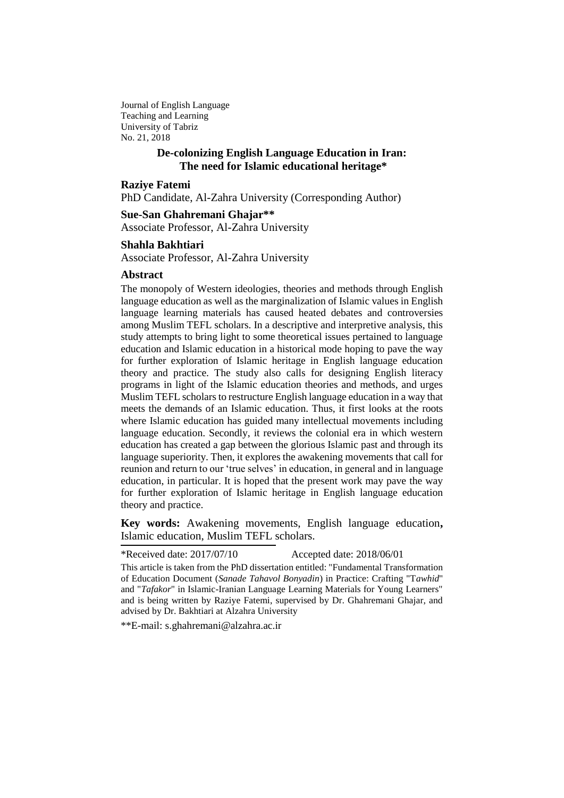Journal of English Language Teaching and Learning University of Tabriz No. 21, 2018

## **De-colonizing English Language Education in Iran: The need for Islamic educational heritage\***

### **Raziye Fatemi**

PhD Candidate, Al-Zahra University (Corresponding Author)

### **Sue-San Ghahremani Ghajar\*\***

Associate Professor, Al-Zahra University

### **Shahla Bakhtiari**

Associate Professor, Al-Zahra University

### **Abstract**

The monopoly of Western ideologies, theories and methods through English language education as well as the marginalization of Islamic values in English language learning materials has caused heated debates and controversies among Muslim TEFL scholars. In a descriptive and interpretive analysis, this study attempts to bring light to some theoretical issues pertained to language education and Islamic education in a historical mode hoping to pave the way for further exploration of Islamic heritage in English language education theory and practice. The study also calls for designing English literacy programs in light of the Islamic education theories and methods, and urges Muslim TEFL scholars to restructure English language education in a way that meets the demands of an Islamic education. Thus, it first looks at the roots where Islamic education has guided many intellectual movements including language education. Secondly, it reviews the colonial era in which western education has created a gap between the glorious Islamic past and through its language superiority. Then, it explores the awakening movements that call for reunion and return to our 'true selves' in education, in general and in language education, in particular. It is hoped that the present work may pave the way for further exploration of Islamic heritage in English language education theory and practice.

**Key words:** Awakening movements, English language education**,**  Islamic education, Muslim TEFL scholars.

\*Received date: 2017/07/10 Accepted date: 2018/06/01

This article is taken from the PhD dissertation entitled: "Fundamental Transformation of Education Document (*Sanade Tahavol Bonyadin*) in Practice: Crafting "T*awhid*" and "*Tafakor*" in Islamic-Iranian Language Learning Materials for Young Learners" and is being written by Raziye Fatemi, supervised by Dr. Ghahremani Ghajar, and advised by Dr. Bakhtiari at Alzahra University

\*\*E-mail: [s.ghahremani@alzahra.ac.ir](mailto:s.ghahremani@alzahra.ac.ir)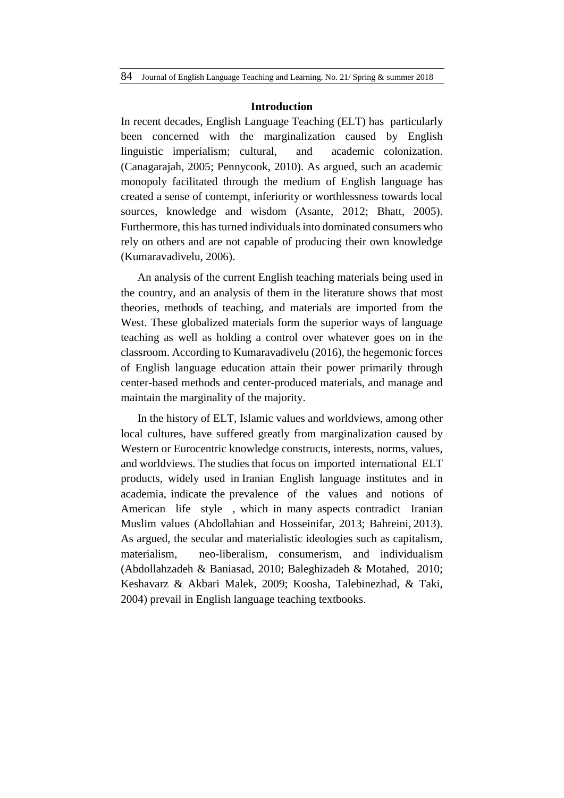### **Introduction**

In recent decades, English Language Teaching (ELT) has particularly been concerned with the marginalization caused by English linguistic imperialism; cultural, and academic colonization. (Canagarajah, 2005; Pennycook, 2010). As argued, such an academic monopoly facilitated through the medium of English language has created a sense of contempt, inferiority or worthlessness towards local sources, knowledge and wisdom (Asante, 2012; Bhatt, 2005). Furthermore, this has turned individuals into dominated consumers who rely on others and are not capable of producing their own knowledge (Kumaravadivelu, 2006).

An analysis of the current English teaching materials being used in the country, and an analysis of them in the literature shows that most theories, methods of teaching, and materials are imported from the West. These globalized materials form the superior ways of language teaching as well as holding a control over whatever goes on in the classroom. According to Kumaravadivelu (2016), the hegemonic forces of English language education attain their power primarily through center-based methods and center-produced materials, and manage and maintain the marginality of the majority.

In the history of ELT, Islamic values and worldviews, among other local cultures, have suffered greatly from marginalization caused by Western or Eurocentric knowledge constructs, interests, norms, values, and worldviews. The studies that focus on imported international ELT products, widely used in Iranian English language institutes and in academia, indicate the prevalence of the values and notions of American life style , which in many aspects contradict Iranian Muslim values (Abdollahian and Hosseinifar, 2013; Bahreini, 2013). As argued, the secular and materialistic ideologies such as capitalism, materialism, neo-liberalism, consumerism, and individualism (Abdollahzadeh & Baniasad, 2010; Baleghizadeh & Motahed, 2010; Keshavarz & Akbari Malek, 2009; Koosha, Talebinezhad, & Taki, 2004) prevail in English language teaching textbooks.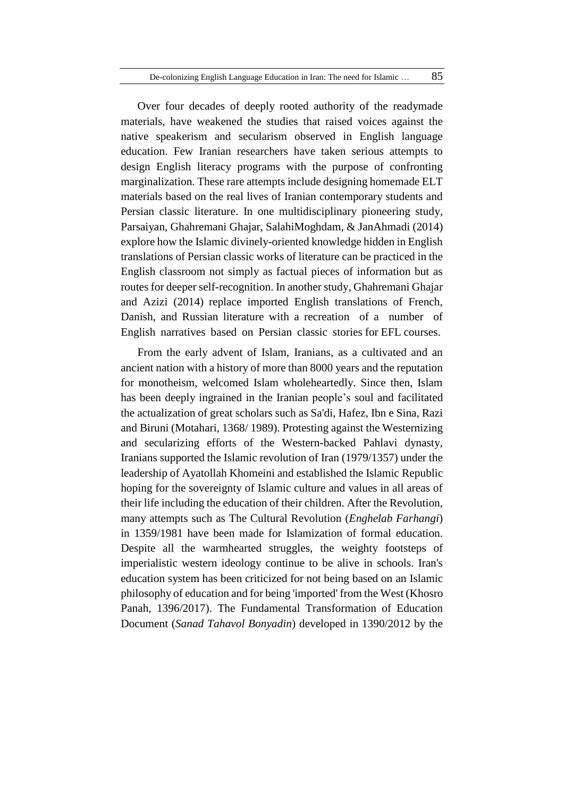Over four decades of deeply rooted authority of the readymade materials, have weakened the studies that raised voices against the native speakerism and secularism observed in English language education. Few Iranian researchers have taken serious attempts to design English literacy programs with the purpose of confronting marginalization. These rare attempts include designing homemade ELT materials based on the real lives of Iranian contemporary students and Persian classic literature. In one multidisciplinary pioneering study, Parsaiyan, Ghahremani Ghajar, SalahiMoghdam, & JanAhmadi (2014) explore how the Islamic divinely-oriented knowledge hidden in English translations of Persian classic works of literature can be practiced in the English classroom not simply as factual pieces of information but as routes for deeper self-recognition. In another study, Ghahremani Ghajar and Azizi (2014) replace imported English translations of French, Danish, and Russian literature with a recreation of a number of English narratives based on Persian classic stories for EFL courses.

From the early advent of Islam, Iranians, as a cultivated and an ancient nation with a history of more than 8000 years and the reputation for monotheism, welcomed Islam wholeheartedly. Since then, Islam has been deeply ingrained in the Iranian people's soul and facilitated the actualization of great scholars such as Sa'di, Hafez, Ibn e Sina, Razi and Biruni (Motahari, 1368/ 1989). Protesting against the Westernizing and secularizing efforts of the Western-backed Pahlavi dynasty, Iranians supported the Islamic revolution of Iran (1979/1357) under the leadership of Ayatollah Khomeini and established the Islamic Republic hoping for the sovereignty of Islamic culture and values in all areas of their life including the education of their children. After the Revolution, many attempts such as The Cultural Revolution (*Enghelab Farhangi*) in 1359/1981 have been made for Islamization of formal education. Despite all the warmhearted struggles, the weighty footsteps of imperialistic western ideology continue to be alive in schools. Iran's education system has been criticized for not being based on an Islamic philosophy of education and for being 'imported' from the West (Khosro Panah, 1396/2017). The Fundamental Transformation of Education Document (*Sanad Tahavol Bonyadin*) developed in 1390/2012 by the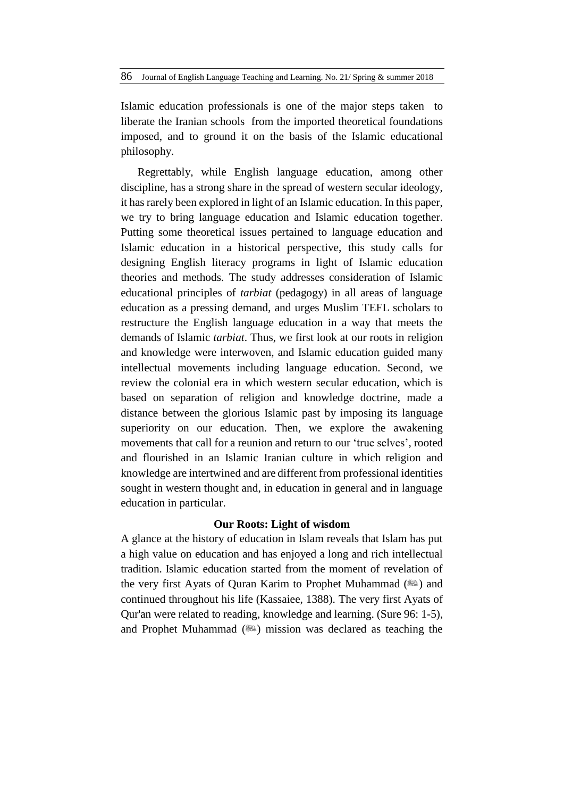Islamic education professionals is one of the major steps taken to liberate the Iranian schools from the imported theoretical foundations imposed, and to ground it on the basis of the Islamic educational philosophy.

Regrettably, while English language education, among other discipline, has a strong share in the spread of western secular ideology, it has rarely been explored in light of an Islamic education. In this paper, we try to bring language education and Islamic education together. Putting some theoretical issues pertained to language education and Islamic education in a historical perspective, this study calls for designing English literacy programs in light of Islamic education theories and methods. The study addresses consideration of Islamic educational principles of *tarbiat* (pedagogy) in all areas of language education as a pressing demand, and urges Muslim TEFL scholars to restructure the English language education in a way that meets the demands of Islamic *tarbiat*. Thus, we first look at our roots in religion and knowledge were interwoven, and Islamic education guided many intellectual movements including language education. Second, we review the colonial era in which western secular education, which is based on separation of religion and knowledge doctrine, made a distance between the glorious Islamic past by imposing its language superiority on our education. Then, we explore the awakening movements that call for a reunion and return to our 'true selves', rooted and flourished in an Islamic Iranian culture in which religion and knowledge are intertwined and are different from professional identities sought in western thought and, in education in general and in language education in particular.

### **Our Roots: Light of wisdom**

A glance at the history of education in Islam reveals that Islam has put a high value on education and has enjoyed a long and rich intellectual tradition. Islamic education started from the moment of revelation of the very first Ayats of Quran Karim to Prophet Muhammad (....) and continued throughout his life (Kassaiee, 1388). The very first Ayats of Qur'an were related to reading, knowledge and learning. (Sure 96: 1-5), and Prophet Muhammad ( $\gg$ ) mission was declared as teaching the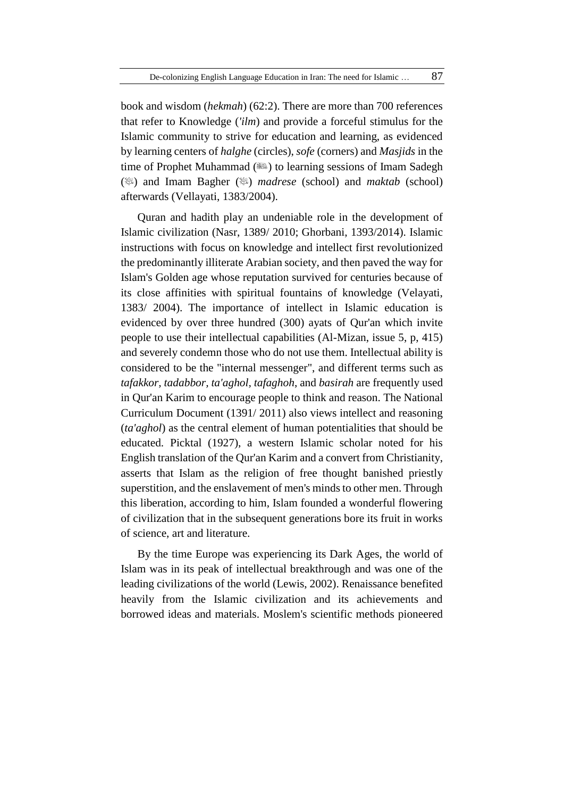book and wisdom (*hekmah*) (62:2). There are more than 700 references that refer to Knowledge (*'ilm*) and provide a forceful stimulus for the Islamic community to strive for education and learning, as evidenced by learning centers of *halghe* (circles), *sofe* (corners) and *Masjids* in the time of Prophet Muhammad ( $\qquad$ ) to learning sessions of Imam Sadegh ( $\downarrow\!\!\!\downarrow$ ) and Imam Bagher ( $\downarrow\!\!\!\downarrow$ ) *madrese* (school) and *maktab* (school) afterwards (Vellayati, 1383/2004).

Quran and hadith play an undeniable role in the development of Islamic civilization (Nasr, 1389/ 2010; Ghorbani, 1393/2014). Islamic instructions with focus on knowledge and intellect first revolutionized the predominantly illiterate Arabian society, and then paved the way for Islam's Golden age whose reputation survived for centuries because of its close affinities with spiritual fountains of knowledge (Velayati, 1383/ 2004). The importance of intellect in Islamic education is evidenced by over three hundred (300) ayats of Qur'an which invite people to use their intellectual capabilities (Al-Mizan, issue 5, p, 415) and severely condemn those who do not use them. Intellectual ability is considered to be the "internal messenger", and different terms such as *tafakkor, tadabbor, ta'aghol, tafaghoh*, and *basirah* are frequently used in Qur'an Karim to encourage people to think and reason. The National Curriculum Document (1391/ 2011) also views intellect and reasoning (*ta'aghol*) as the central element of human potentialities that should be educated. Picktal (1927), a western Islamic scholar noted for his English translation of the Qur'an Karim and a convert from Christianity, asserts that Islam as the religion of free thought banished priestly superstition, and the enslavement of men's minds to other men. Through this liberation, according to him, Islam founded a wonderful flowering of civilization that in the subsequent generations bore its fruit in works of science, art and literature.

By the time Europe was experiencing its Dark Ages, the world of Islam was in its peak of intellectual breakthrough and was one of the leading civilizations of the world (Lewis, 2002). Renaissance benefited heavily from the Islamic civilization and its achievements and borrowed ideas and materials. Moslem's scientific methods pioneered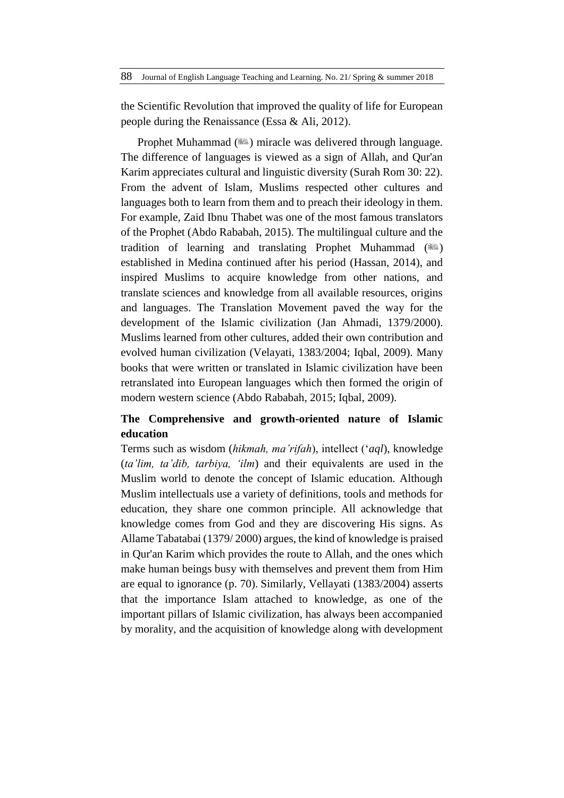the Scientific Revolution that improved the quality of life for European people during the Renaissance (Essa & Ali, 2012).

Prophet Muhammad ( $\gg$ ) miracle was delivered through language. The difference of languages is viewed as a sign of Allah, and Qur'an Karim appreciates cultural and linguistic diversity (Surah Rom 30: 22). From the advent of Islam, Muslims respected other cultures and languages both to learn from them and to preach their ideology in them. For example, Zaid Ibnu Thabet was one of the most famous translators of the Prophet (Abdo Rababah, 2015). The multilingual culture and the tradition of learning and translating Prophet Muhammad  $(\mathbb{R})$ established in Medina continued after his period (Hassan, 2014), and inspired Muslims to acquire knowledge from other nations, and translate sciences and knowledge from all available resources, origins and languages. The Translation Movement paved the way for the development of the Islamic civilization (Jan Ahmadi, 1379/2000). Muslims learned from other cultures, added their own contribution and evolved human civilization (Velayati, 1383/2004; Iqbal, 2009). Many books that were written or translated in Islamic civilization have been retranslated into European languages which then formed the origin of modern western science (Abdo Rababah, 2015; Iqbal, 2009).

# **The Comprehensive and growth-oriented nature of Islamic education**

Terms such as wisdom (*hikmah, ma'rifah*), intellect ('*aql*), knowledge (*ta'lim, ta'dib, tarbiya, 'ilm*) and their equivalents are used in the Muslim world to denote the concept of Islamic education. Although Muslim intellectuals use a variety of definitions, tools and methods for education, they share one common principle. All acknowledge that knowledge comes from God and they are discovering His signs. As Allame Tabatabai (1379/ 2000) argues, the kind of knowledge is praised in Qur'an Karim which provides the route to Allah, and the ones which make human beings busy with themselves and prevent them from Him are equal to ignorance (p. 70). Similarly, Vellayati (1383/2004) asserts that the importance Islam attached to knowledge, as one of the important pillars of Islamic civilization, has always been accompanied by morality, and the acquisition of knowledge along with development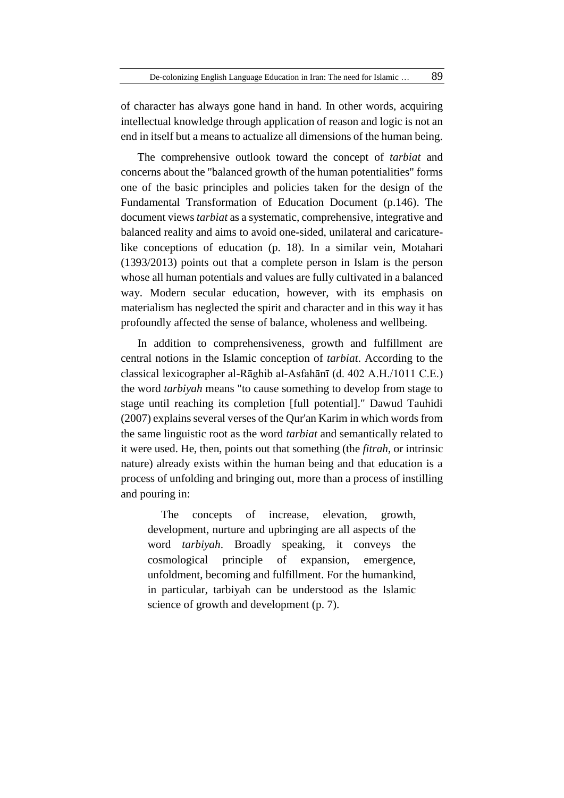of character has always gone hand in hand. In other words, acquiring intellectual knowledge through application of reason and logic is not an end in itself but a means to actualize all dimensions of the human being.

The comprehensive outlook toward the concept of *tarbiat* and concerns about the "balanced growth of the human potentialities" forms one of the basic principles and policies taken for the design of the Fundamental Transformation of Education Document (p.146). The document views *tarbiat* as a systematic, comprehensive, integrative and balanced reality and aims to avoid one-sided, unilateral and caricaturelike conceptions of education (p. 18). In a similar vein, Motahari (1393/2013) points out that a complete person in Islam is the person whose all human potentials and values are fully cultivated in a balanced way. Modern secular education, however, with its emphasis on materialism has neglected the spirit and character and in this way it has profoundly affected the sense of balance, wholeness and wellbeing.

In addition to comprehensiveness, growth and fulfillment are central notions in the Islamic conception of *tarbiat*. According to the classical lexicographer al-Rāghib al-Asfahānī (d. 402 A.H./1011 C.E.) the word *tarbiyah* means "to cause something to develop from stage to stage until reaching its completion [full potential]." Dawud Tauhidi (2007) explains several verses of the Qur'an Karim in which words from the same linguistic root as the word *tarbiat* and semantically related to it were used. He, then, points out that something (the *fitrah*, or intrinsic nature) already exists within the human being and that education is a process of unfolding and bringing out, more than a process of instilling and pouring in:

The concepts of increase, elevation, growth, development, nurture and upbringing are all aspects of the word *tarbiyah*. Broadly speaking, it conveys the cosmological principle of expansion, emergence, unfoldment, becoming and fulfillment. For the humankind, in particular, tarbiyah can be understood as the Islamic science of growth and development (p. 7).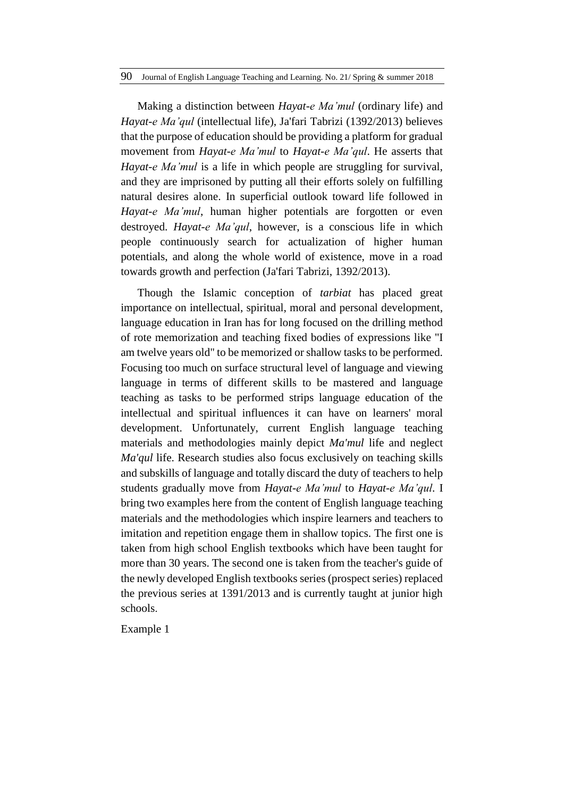Making a distinction between *Hayat-e Ma'mul* (ordinary life) and *Hayat-e Ma'qul* (intellectual life), Ja'fari Tabrizi (1392/2013) believes that the purpose of education should be providing a platform for gradual movement from *Hayat-e Ma'mul* to *Hayat-e Ma'qul*. He asserts that *Hayat-e Ma'mul* is a life in which people are struggling for survival, and they are imprisoned by putting all their efforts solely on fulfilling natural desires alone. In superficial outlook toward life followed in *Hayat-e Ma'mul*, human higher potentials are forgotten or even destroyed. *Hayat-e Ma'qul*, however, is a conscious life in which people continuously search for actualization of higher human potentials, and along the whole world of existence, move in a road towards growth and perfection (Ja'fari Tabrizi, 1392/2013).

Though the Islamic conception of *tarbiat* has placed great importance on intellectual, spiritual, moral and personal development, language education in Iran has for long focused on the drilling method of rote memorization and teaching fixed bodies of expressions like "I am twelve years old" to be memorized or shallow tasks to be performed. Focusing too much on surface structural level of language and viewing language in terms of different skills to be mastered and language teaching as tasks to be performed strips language education of the intellectual and spiritual influences it can have on learners' moral development. Unfortunately, current English language teaching materials and methodologies mainly depict *Ma'mul* life and neglect *Ma'qul* life. Research studies also focus exclusively on teaching skills and subskills of language and totally discard the duty of teachers to help students gradually move from *Hayat-e Ma'mul* to *Hayat-e Ma'qul*. I bring two examples here from the content of English language teaching materials and the methodologies which inspire learners and teachers to imitation and repetition engage them in shallow topics. The first one is taken from high school English textbooks which have been taught for more than 30 years. The second one is taken from the teacher's guide of the newly developed English textbooks series (prospect series) replaced the previous series at 1391/2013 and is currently taught at junior high schools.

Example 1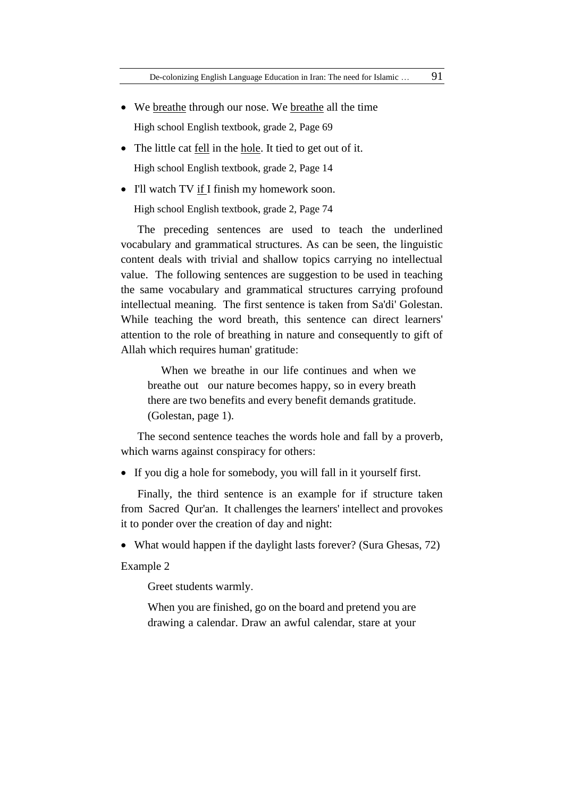- We breathe through our nose. We breathe all the time High school English textbook, grade 2, Page 69
- The little cat fell in the hole. It tied to get out of it. High school English textbook, grade 2, Page 14
- I'll watch TV if I finish my homework soon.

High school English textbook, grade 2, Page 74

The preceding sentences are used to teach the underlined vocabulary and grammatical structures. As can be seen, the linguistic content deals with trivial and shallow topics carrying no intellectual value. The following sentences are suggestion to be used in teaching the same vocabulary and grammatical structures carrying profound intellectual meaning. The first sentence is taken from Sa'di' Golestan. While teaching the word breath, this sentence can direct learners' attention to the role of breathing in nature and consequently to gift of Allah which requires human' gratitude:

When we breathe in our life continues and when we breathe out our nature becomes happy, so in every breath there are two benefits and every benefit demands gratitude. (Golestan, page 1).

The second sentence teaches the words hole and fall by a proverb, which warns against conspiracy for others:

If you dig a hole for somebody, you will fall in it yourself first.

Finally, the third sentence is an example for if structure taken from Sacred Qur'an. It challenges the learners' intellect and provokes it to ponder over the creation of day and night:

• What would happen if the daylight lasts forever? (Sura Ghesas, 72)

Example 2

Greet students warmly.

When you are finished, go on the board and pretend you are drawing a calendar. Draw an awful calendar, stare at your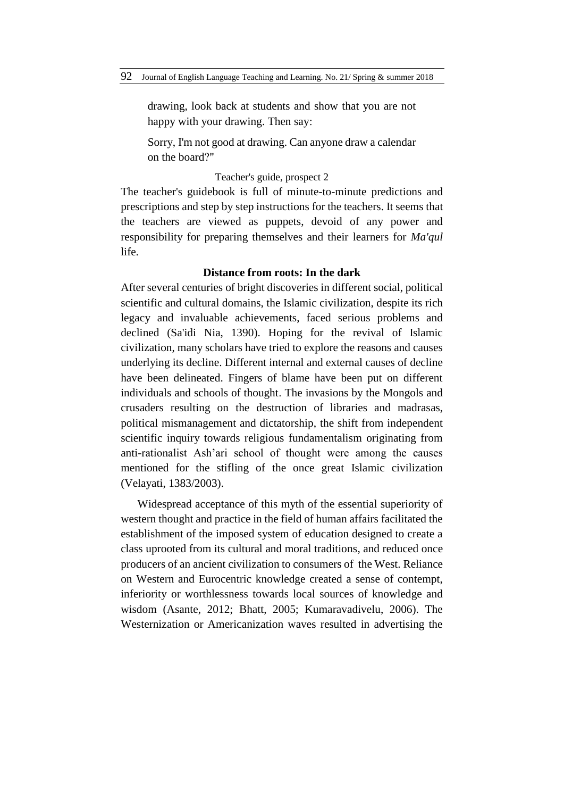drawing, look back at students and show that you are not happy with your drawing. Then say:

Sorry, I'm not good at drawing. Can anyone draw a calendar on the board?"

Teacher's guide, prospect 2

The teacher's guidebook is full of minute-to-minute predictions and prescriptions and step by step instructions for the teachers. It seems that the teachers are viewed as puppets, devoid of any power and responsibility for preparing themselves and their learners for *Ma'qul* life.

### **Distance from roots: In the dark**

After several centuries of bright discoveries in different social, political scientific and cultural domains, the Islamic civilization, despite its rich legacy and invaluable achievements, faced serious problems and declined (Sa'idi Nia, 1390). Hoping for the revival of Islamic civilization, many scholars have tried to explore the reasons and causes underlying its decline. Different internal and external causes of decline have been delineated. Fingers of blame have been put on different individuals and schools of thought. The invasions by the Mongols and crusaders resulting on the destruction of libraries and madrasas, political mismanagement and dictatorship, the shift from independent scientific inquiry towards religious fundamentalism originating from anti-rationalist Ash'ari school of thought were among the causes mentioned for the stifling of the once great Islamic civilization (Velayati, 1383/2003).

Widespread acceptance of this myth of the essential superiority of western thought and practice in the field of human affairs facilitated the establishment of the imposed system of education designed to create a class uprooted from its cultural and moral traditions, and reduced once producers of an ancient civilization to consumers of the West. Reliance on Western and Eurocentric knowledge created a sense of contempt, inferiority or worthlessness towards local sources of knowledge and wisdom (Asante, 2012; Bhatt, 2005; Kumaravadivelu, 2006). The Westernization or Americanization waves resulted in advertising the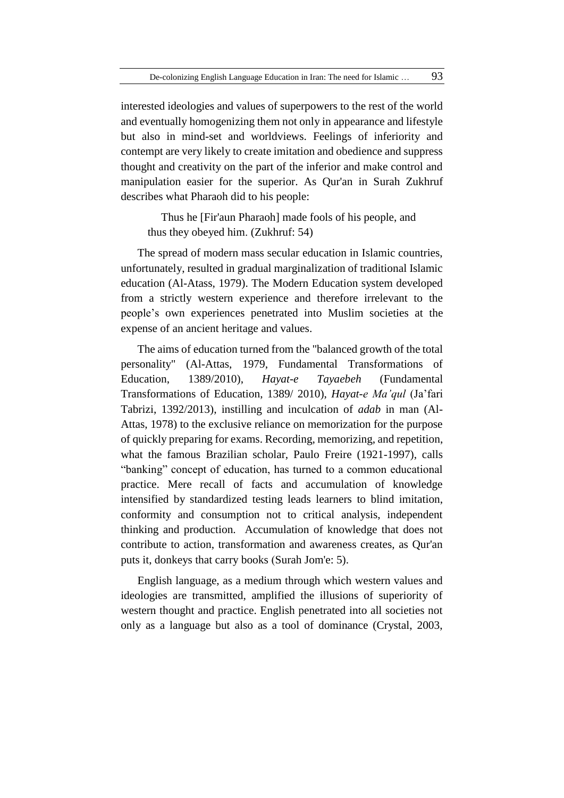interested ideologies and values of superpowers to the rest of the world and eventually homogenizing them not only in appearance and lifestyle but also in mind-set and worldviews. Feelings of inferiority and contempt are very likely to create imitation and obedience and suppress thought and creativity on the part of the inferior and make control and manipulation easier for the superior. As Qur'an in Surah Zukhruf describes what Pharaoh did to his people:

Thus he [Fir'aun Pharaoh] made fools of his people, and thus they obeyed him. (Zukhruf: 54)

The spread of modern mass secular education in Islamic countries, unfortunately, resulted in gradual marginalization of traditional Islamic education (Al-Atass, 1979). The Modern Education system developed from a strictly western experience and therefore irrelevant to the people's own experiences penetrated into Muslim societies at the expense of an ancient heritage and values.

The aims of education turned from the "balanced growth of the total personality" (Al-Attas, 1979, Fundamental Transformations of Education, 1389/2010), *Hayat-e Tayaebeh* (Fundamental Transformations of Education, 1389/ 2010), *Hayat-e Ma'qul* (Ja'fari Tabrizi, 1392/2013), instilling and inculcation of *adab* in man (Al-Attas, 1978) to the exclusive reliance on memorization for the purpose of quickly preparing for exams. Recording, memorizing, and repetition, what the famous Brazilian scholar, Paulo Freire (1921-1997), calls "banking" concept of education, has turned to a common educational practice. Mere recall of facts and accumulation of knowledge intensified by standardized testing leads learners to blind imitation, conformity and consumption not to critical analysis, independent thinking and production. Accumulation of knowledge that does not contribute to action, transformation and awareness creates, as Qur'an puts it, donkeys that carry books (Surah Jom'e: 5).

English language, as a medium through which western values and ideologies are transmitted, amplified the illusions of superiority of western thought and practice. English penetrated into all societies not only as a language but also as a tool of dominance (Crystal, 2003,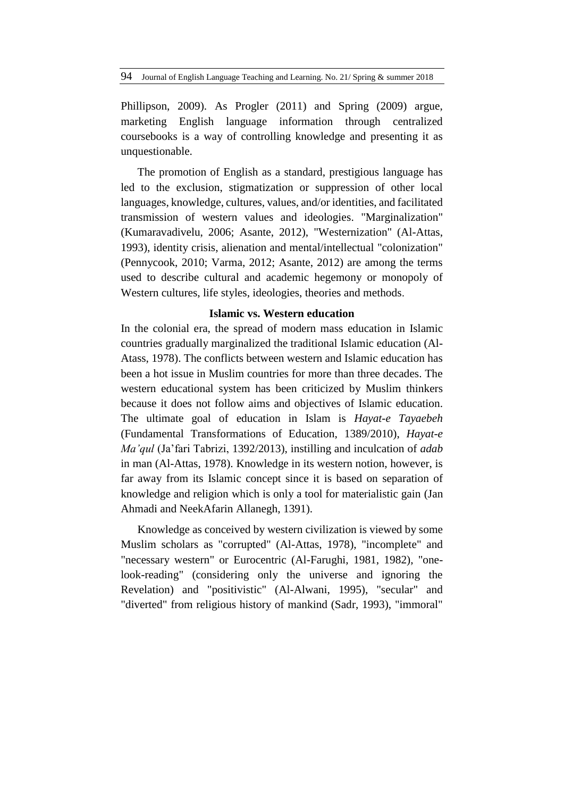Phillipson, 2009). As Progler (2011) and Spring (2009) argue, marketing English language information through centralized coursebooks is a way of controlling knowledge and presenting it as unquestionable.

The promotion of English as a standard, prestigious language has led to the exclusion, stigmatization or suppression of other local languages, knowledge, cultures, values, and/or identities, and facilitated transmission of western values and ideologies. "Marginalization" (Kumaravadivelu, 2006; Asante, 2012), "Westernization" (Al-Attas, 1993), identity crisis, alienation and mental/intellectual "colonization" (Pennycook, 2010; Varma, 2012; Asante, 2012) are among the terms used to describe cultural and academic hegemony or monopoly of Western cultures, life styles, ideologies, theories and methods.

### **Islamic vs. Western education**

In the colonial era, the spread of modern mass education in Islamic countries gradually marginalized the traditional Islamic education (Al-Atass, 1978). The conflicts between western and Islamic education has been a hot issue in Muslim countries for more than three decades. The western educational system has been criticized by Muslim thinkers because it does not follow aims and objectives of Islamic education. The ultimate goal of education in Islam is *Hayat-e Tayaebeh* (Fundamental Transformations of Education, 1389/2010), *Hayat-e Ma'qul* (Ja'fari Tabrizi, 1392/2013), instilling and inculcation of *adab* in man (Al-Attas, 1978). Knowledge in its western notion, however, is far away from its Islamic concept since it is based on separation of knowledge and religion which is only a tool for materialistic gain (Jan Ahmadi and NeekAfarin Allanegh, 1391).

Knowledge as conceived by western civilization is viewed by some Muslim scholars as "corrupted" (Al-Attas, 1978), "incomplete" and "necessary western" or Eurocentric (Al-Farughi, 1981, 1982), "onelook-reading" (considering only the universe and ignoring the Revelation) and "positivistic" (Al-Alwani, 1995), "secular" and "diverted" from religious history of mankind (Sadr, 1993), "immoral"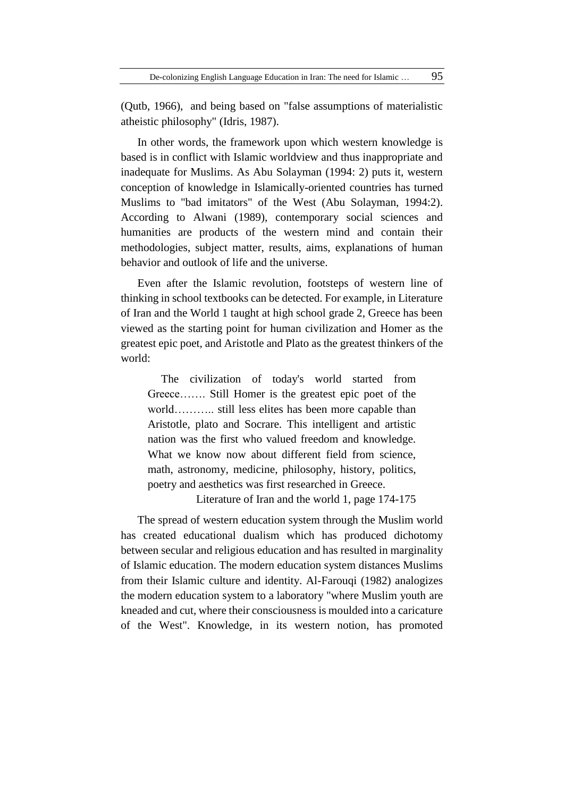(Qutb, 1966), and being based on "false assumptions of materialistic atheistic philosophy" (Idris, 1987).

In other words, the framework upon which western knowledge is based is in conflict with Islamic worldview and thus inappropriate and inadequate for Muslims. As Abu Solayman (1994: 2) puts it, western conception of knowledge in Islamically-oriented countries has turned Muslims to "bad imitators" of the West (Abu Solayman, 1994:2). According to Alwani (1989), contemporary social sciences and humanities are products of the western mind and contain their methodologies, subject matter, results, aims, explanations of human behavior and outlook of life and the universe.

Even after the Islamic revolution, footsteps of western line of thinking in school textbooks can be detected. For example, in Literature of Iran and the World 1 taught at high school grade 2, Greece has been viewed as the starting point for human civilization and Homer as the greatest epic poet, and Aristotle and Plato as the greatest thinkers of the world:

The civilization of today's world started from Greece……. Still Homer is the greatest epic poet of the world……….. still less elites has been more capable than Aristotle, plato and Socrare. This intelligent and artistic nation was the first who valued freedom and knowledge. What we know now about different field from science, math, astronomy, medicine, philosophy, history, politics, poetry and aesthetics was first researched in Greece.

Literature of Iran and the world 1, page 174-175

The spread of western education system through the Muslim world has created educational dualism which has produced dichotomy between secular and religious education and has resulted in marginality of Islamic education. The modern education system distances Muslims from their Islamic culture and identity. Al-Farouqi (1982) analogizes the modern education system to a laboratory "where Muslim youth are kneaded and cut, where their consciousness is moulded into a caricature of the West". Knowledge, in its western notion, has promoted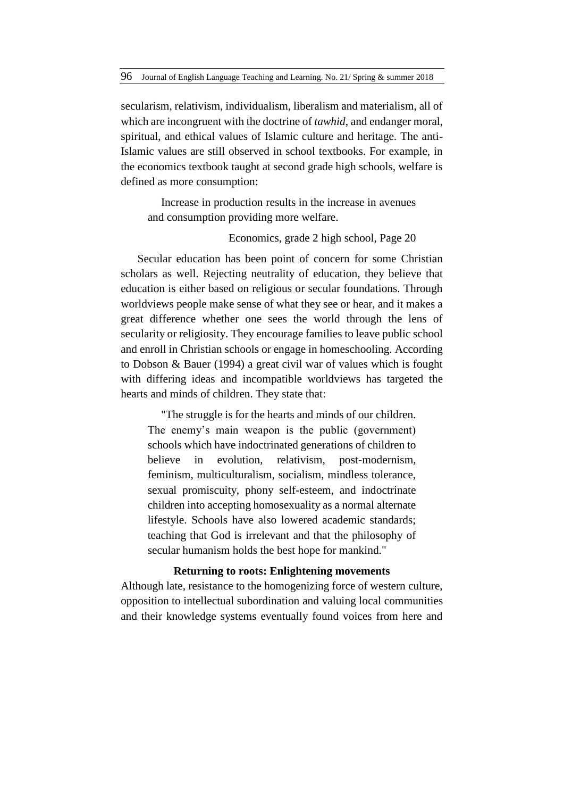secularism, relativism, individualism, liberalism and materialism, all of which are incongruent with the doctrine of *tawhid*, and endanger moral, spiritual, and ethical values of Islamic culture and heritage. The anti-Islamic values are still observed in school textbooks. For example, in the economics textbook taught at second grade high schools, welfare is defined as more consumption:

Increase in production results in the increase in avenues and consumption providing more welfare.

### Economics, grade 2 high school, Page 20

Secular education has been point of concern for some Christian scholars as well. Rejecting neutrality of education, they believe that education is either based on religious or secular foundations. Through worldviews people make sense of what they see or hear, and it makes a great difference whether one sees the world through the lens of secularity or religiosity. They encourage families to leave public school and enroll in Christian schools or engage in homeschooling. According to Dobson & Bauer (1994) a great civil war of values which is fought with differing ideas and incompatible worldviews has targeted the hearts and minds of children. They state that:

"The struggle is for the hearts and minds of our children. The enemy's main weapon is the public (government) schools which have indoctrinated generations of children to believe in evolution, relativism, post-modernism, feminism, multiculturalism, socialism, mindless tolerance, sexual promiscuity, phony self-esteem, and indoctrinate children into accepting homosexuality as a normal alternate lifestyle. Schools have also lowered academic standards; teaching that God is irrelevant and that the philosophy of secular humanism holds the best hope for mankind."

### **Returning to roots: Enlightening movements**

Although late, resistance to the homogenizing force of western culture, opposition to intellectual subordination and valuing local communities and their knowledge systems eventually found voices from here and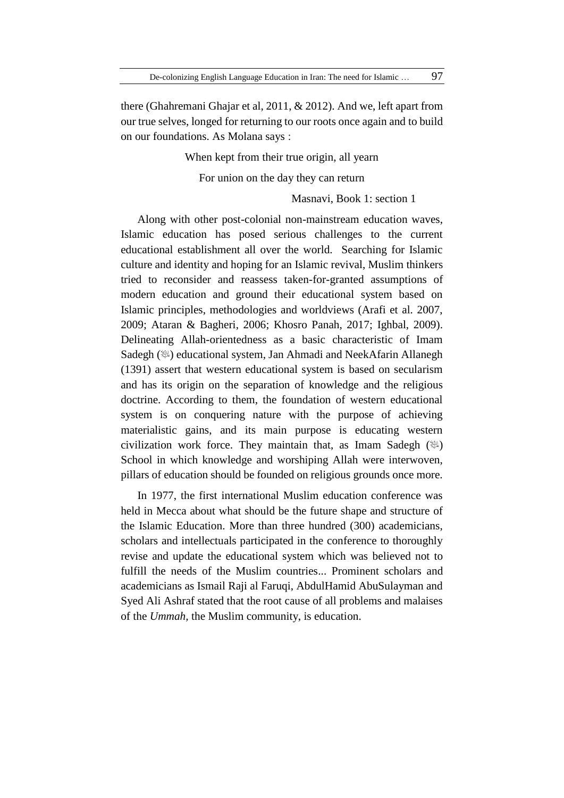there (Ghahremani Ghajar et al, 2011, & 2012). And we, left apart from our true selves, longed for returning to our roots once again and to build on our foundations. As Molana says :

When kept from their true origin, all yearn

For union on the day they can return

Masnavi, Book 1: section 1

Along with other post-colonial non-mainstream education waves, Islamic education has posed serious challenges to the current educational establishment all over the world. Searching for Islamic culture and identity and hoping for an Islamic revival, Muslim thinkers tried to reconsider and reassess taken-for-granted assumptions of modern education and ground their educational system based on Islamic principles, methodologies and worldviews (Arafi et al. 2007, 2009; Ataran & Bagheri, 2006; Khosro Panah, 2017; Ighbal, 2009). Delineating Allah-orientedness as a basic characteristic of Imam Sadegh ( $\mathcal{L}$ ) educational system, Jan Ahmadi and NeekAfarin Allanegh (1391) assert that western educational system is based on secularism and has its origin on the separation of knowledge and the religious doctrine. According to them, the foundation of western educational system is on conquering nature with the purpose of achieving materialistic gains, and its main purpose is educating western civilization work force. They maintain that, as Imam Sadegh  $(\mathcal{H})$ School in which knowledge and worshiping Allah were interwoven, pillars of education should be founded on religious grounds once more.

In 1977, the first international Muslim education conference was held in Mecca about what should be the future shape and structure of the Islamic Education. More than three hundred (300) academicians, scholars and intellectuals participated in the conference to thoroughly revise and update the educational system which was believed not to fulfill the needs of the Muslim countries... Prominent scholars and academicians as Ismail Raji al Faruqi, AbdulHamid AbuSulayman and Syed Ali Ashraf stated that the root cause of all problems and malaises of the *Ummah,* the Muslim community, is education.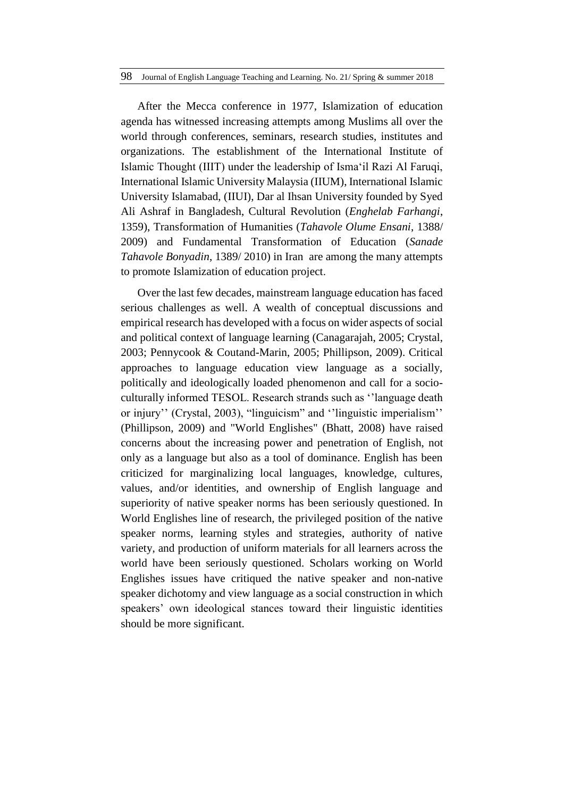After the Mecca conference in 1977, Islamization of education agenda has witnessed increasing attempts among Muslims all over the world through conferences, seminars, research studies, institutes and organizations. The establishment of the International Institute of Islamic Thought (IIIT) under the leadership of Isma'il Razi Al Faruqi, International Islamic University Malaysia (IIUM), International Islamic University Islamabad, (IIUI), Dar al Ihsan University founded by Syed Ali Ashraf in Bangladesh, Cultural Revolution (*Enghelab Farhangi*, 1359), Transformation of Humanities (*Tahavole Olume Ensani*, 1388/ 2009) and Fundamental Transformation of Education (*Sanade Tahavole Bonyadin*, 1389/ 2010) in Iran are among the many attempts to promote Islamization of education project.

Over the last few decades, mainstream language education has faced serious challenges as well. A wealth of conceptual discussions and empirical research has developed with a focus on wider aspects of social and political context of language learning (Canagarajah, 2005; Crystal, 2003; Pennycook & Coutand-Marin, 2005; Phillipson, 2009). Critical approaches to language education view language as a socially, politically and ideologically loaded phenomenon and call for a socioculturally informed TESOL. Research strands such as ''language death or injury'' (Crystal, 2003), "linguicism" and ''linguistic imperialism'' (Phillipson, 2009) and "World Englishes" (Bhatt, 2008) have raised concerns about the increasing power and penetration of English, not only as a language but also as a tool of dominance. English has been criticized for marginalizing local languages, knowledge, cultures, values, and/or identities, and ownership of English language and superiority of native speaker norms has been seriously questioned. In World Englishes line of research, the privileged position of the native speaker norms, learning styles and strategies, authority of native variety, and production of uniform materials for all learners across the world have been seriously questioned. Scholars working on World Englishes issues have critiqued the native speaker and non-native speaker dichotomy and view language as a social construction in which speakers' own ideological stances toward their linguistic identities should be more significant.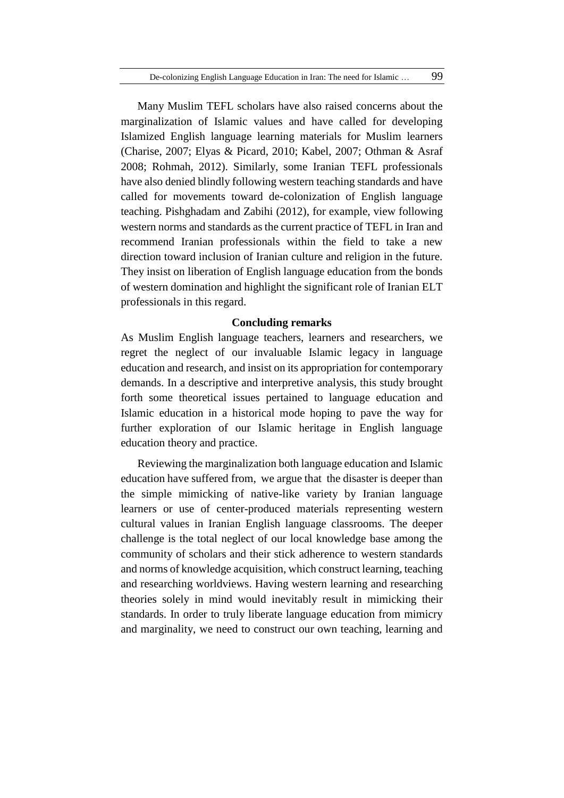Many Muslim TEFL scholars have also raised concerns about the marginalization of Islamic values and have called for developing Islamized English language learning materials for Muslim learners (Charise, 2007; Elyas & Picard, 2010; Kabel, 2007; Othman & Asraf 2008; Rohmah, 2012). Similarly, some Iranian TEFL professionals have also denied blindly following western teaching standards and have called for movements toward de-colonization of English language teaching. Pishghadam and Zabihi (2012), for example, view following western norms and standards as the current practice of TEFL in Iran and recommend Iranian professionals within the field to take a new direction toward inclusion of Iranian culture and religion in the future. They insist on liberation of English language education from the bonds of western domination and highlight the significant role of Iranian ELT professionals in this regard.

### **Concluding remarks**

As Muslim English language teachers, learners and researchers, we regret the neglect of our invaluable Islamic legacy in language education and research, and insist on its appropriation for contemporary demands. In a descriptive and interpretive analysis, this study brought forth some theoretical issues pertained to language education and Islamic education in a historical mode hoping to pave the way for further exploration of our Islamic heritage in English language education theory and practice.

Reviewing the marginalization both language education and Islamic education have suffered from, we argue that the disaster is deeper than the simple mimicking of native-like variety by Iranian language learners or use of center-produced materials representing western cultural values in Iranian English language classrooms. The deeper challenge is the total neglect of our local knowledge base among the community of scholars and their stick adherence to western standards and norms of knowledge acquisition, which construct learning, teaching and researching worldviews. Having western learning and researching theories solely in mind would inevitably result in mimicking their standards. In order to truly liberate language education from mimicry and marginality, we need to construct our own teaching, learning and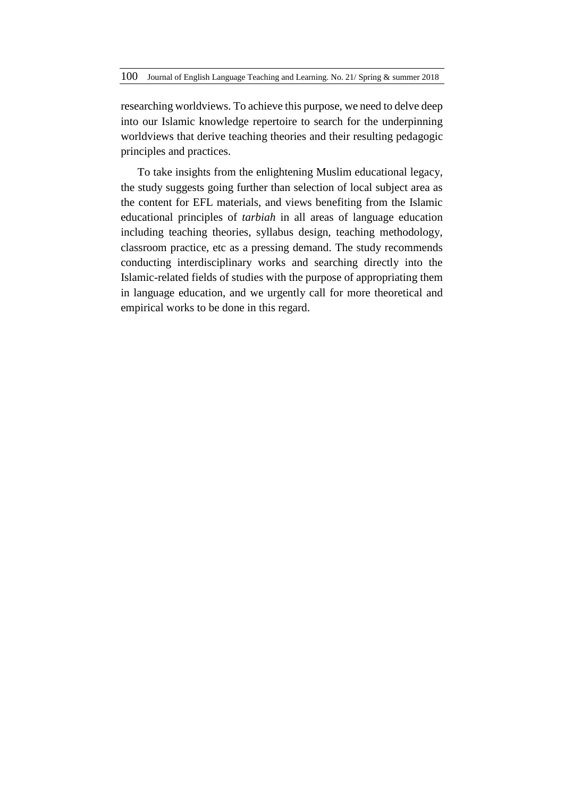researching worldviews. To achieve this purpose, we need to delve deep into our Islamic knowledge repertoire to search for the underpinning worldviews that derive teaching theories and their resulting pedagogic principles and practices.

To take insights from the enlightening Muslim educational legacy, the study suggests going further than selection of local subject area as the content for EFL materials, and views benefiting from the Islamic educational principles of *tarbiah* in all areas of language education including teaching theories, syllabus design, teaching methodology, classroom practice, etc as a pressing demand. The study recommends conducting interdisciplinary works and searching directly into the Islamic-related fields of studies with the purpose of appropriating them in language education, and we urgently call for more theoretical and empirical works to be done in this regard.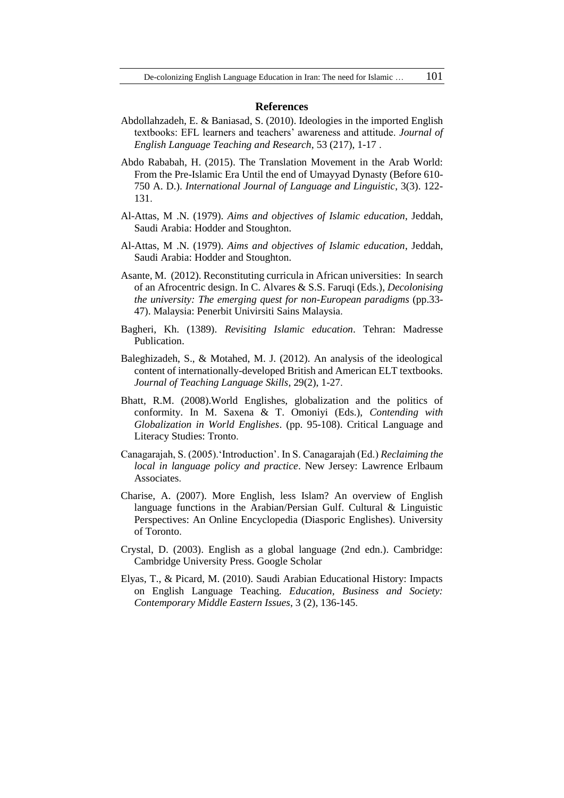#### **References**

- Abdollahzadeh, E. & Baniasad, S. (2010). Ideologies in the imported English textbooks: EFL learners and teachers' awareness and attitude. *Journal of English Language Teaching and Research*, 53 (217), 1-17 .
- Abdo Rababah, H. (2015). The Translation Movement in the Arab World: From the Pre-Islamic Era Until the end of Umayyad Dynasty (Before 610- 750 A. D.). *International Journal of Language and Linguistic*, 3(3). 122- 131.
- Al-Attas, M .N. (1979). *Aims and objectives of Islamic education*, Jeddah, Saudi Arabia: Hodder and Stoughton.
- Al-Attas, M .N. (1979). *Aims and objectives of Islamic education*, Jeddah, Saudi Arabia: Hodder and Stoughton.
- Asante, M. (2012). Reconstituting curricula in African universities: In search of an Afrocentric design. In C. Alvares & S.S. Faruqi (Eds.), *Decolonising the university: The emerging quest for non-European paradigms* (pp.33- 47). Malaysia: Penerbit Univirsiti Sains Malaysia.
- Bagheri, Kh. (1389). *Revisiting Islamic education*. Tehran: Madresse Publication.
- Baleghizadeh, S., & Motahed, M. J. (2012). An analysis of the ideological content of internationally-developed British and American ELT textbooks. *Journal of Teaching Language Skills*, 29(2), 1-27.
- Bhatt, R.M. (2008).World Englishes, globalization and the politics of conformity. In M. Saxena & T. Omoniyi (Eds.), *Contending with Globalization in World Englishes*. (pp. 95-108). Critical Language and Literacy Studies: Tronto.
- Canagarajah, S. (2005).'Introduction'. In S. Canagarajah (Ed.) *Reclaiming the local in language policy and practice*. New Jersey: Lawrence Erlbaum Associates.
- Charise, A. (2007). More English, less Islam? An overview of English language functions in the Arabian/Persian Gulf. Cultural & Linguistic Perspectives: An Online Encyclopedia (Diasporic Englishes). University of Toronto.
- Crystal, D. (2003). English as a global language (2nd edn.). Cambridge: Cambridge University Press. Google Scholar
- Elyas, T., & Picard, M. (2010). Saudi Arabian Educational History: Impacts on English Language Teaching. *Education, Business and Society: Contemporary Middle Eastern Issues*, 3 (2), 136-145.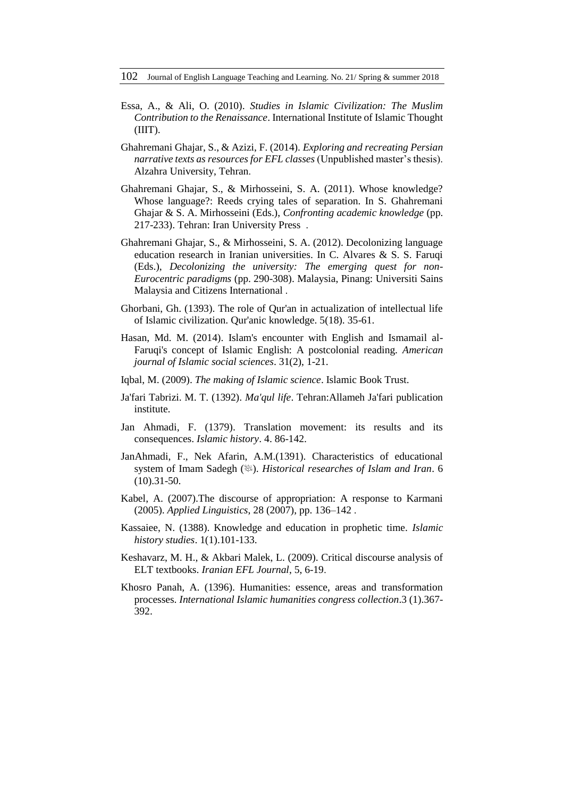102 Journal of English Language Teaching and Learning. No. 21/ Spring & summer 2018

- Essa, A., & Ali, O. (2010). *Studies in Islamic Civilization: The Muslim Contribution to the Renaissance*. International Institute of Islamic Thought (IIIT).
- Ghahremani Ghajar, S., & Azizi, F. (2014). *Exploring and recreating Persian narrative texts as resources for EFL classes* (Unpublished master's thesis). Alzahra University, Tehran.
- Ghahremani Ghajar, S., & Mirhosseini, S. A. (2011). Whose knowledge? Whose language?: Reeds crying tales of separation. In S. Ghahremani Ghajar & S. A. Mirhosseini (Eds.), *Confronting academic knowledge* (pp. 217-233). Tehran: Iran University Press .
- Ghahremani Ghajar, S., & Mirhosseini, S. A. (2012). Decolonizing language education research in Iranian universities. In C. Alvares & S. S. Faruqi (Eds.), *Decolonizing the university: The emerging quest for non-Eurocentric paradigms* (pp. 290-308). Malaysia, Pinang: Universiti Sains Malaysia and Citizens International .
- Ghorbani, Gh. (1393). The role of Qur'an in actualization of intellectual life of Islamic civilization. Qur'anic knowledge. 5(18). 35-61.
- Hasan, Md. M. (2014). Islam's encounter with English and Ismamail al-Faruqi's concept of Islamic English: A postcolonial reading. *American journal of Islamic social sciences*. 31(2), 1-21.
- Iqbal, M. (2009). *The making of Islamic science*. Islamic Book Trust.
- Ja'fari Tabrizi. M. T. (1392). *Ma'qul life*. Tehran:Allameh Ja'fari publication institute.
- Jan Ahmadi, F. (1379). Translation movement: its results and its consequences. *Islamic history*. 4. 86-142.
- JanAhmadi, F., Nek Afarin, A.M.(1391). Characteristics of educational system of Imam Sadegh (). *Historical researches of Islam and Iran*. 6 (10).31-50.
- Kabel, A. (2007).The discourse of appropriation: A response to Karmani (2005). *Applied Linguistics*, 28 (2007), pp. 136–142 .
- Kassaiee, N. (1388). Knowledge and education in prophetic time. *Islamic history studies*. 1(1).101-133.
- Keshavarz, M. H., & Akbari Malek, L. (2009). Critical discourse analysis of ELT textbooks. *Iranian EFL Journal*, 5, 6-19.
- Khosro Panah, A. (1396). Humanities: essence, areas and transformation processes. *International Islamic humanities congress collection*.3 (1).367- 392.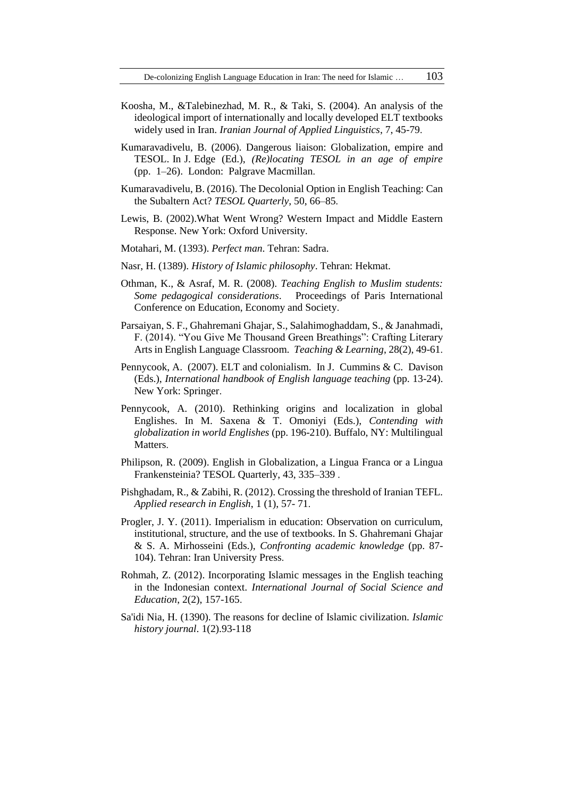- Koosha, M., &Talebinezhad, M. R., & Taki, S. (2004). An analysis of the ideological import of internationally and locally developed ELT textbooks widely used in Iran. *Iranian Journal of Applied Linguistics*, 7, 45-79.
- Kumaravadivelu, B. (2006). Dangerous liaison: Globalization, empire and TESOL. In J. Edge (Ed.), *(Re)locating TESOL in an age of empire* (pp. 1–26). London: Palgrave Macmillan.
- Kumaravadivelu, B. (2016). The Decolonial Option in English Teaching: Can the Subaltern Act? *TESOL Quarterly*, 50, 66–85.
- Lewis, B. (2002).What Went Wrong? Western Impact and Middle Eastern Response. New York: Oxford University.
- Motahari, M. (1393). *Perfect man*. Tehran: Sadra.
- Nasr, H. (1389). *History of Islamic philosophy*. Tehran: Hekmat.
- Othman, K., & Asraf, M. R. (2008). *Teaching English to Muslim students: Some pedagogical considerations*. Proceedings of Paris International Conference on Education, Economy and Society.
- Parsaiyan, S. F., Ghahremani Ghajar, S., Salahimoghaddam, S., & Janahmadi, F. (2014). "You Give Me Thousand Green Breathings": Crafting Literary Arts in English Language Classroom. *Teaching & Learning*, 28(2), 49-61.
- Pennycook, A. (2007). ELT and colonialism. In J. Cummins & C. Davison (Eds.), *International handbook of English language teaching* (pp. 13-24). New York: Springer.
- Pennycook, A. (2010). Rethinking origins and localization in global Englishes. In M. Saxena & T. Omoniyi (Eds.), *Contending with globalization in world Englishes* (pp. 196-210). Buffalo, NY: Multilingual Matters.
- Philipson, R. (2009). English in Globalization, a Lingua Franca or a Lingua Frankensteinia? TESOL Quarterly, 43, 335–339 .
- Pishghadam, R., & Zabihi, R. (2012). Crossing the threshold of Iranian TEFL. *Applied research in English*, 1 (1), 57- 71.
- Progler, J. Y. (2011). Imperialism in education: Observation on curriculum, institutional, structure, and the use of textbooks. In S. Ghahremani Ghajar & S. A. Mirhosseini (Eds.), *Confronting academic knowledge* (pp. 87- 104). Tehran: Iran University Press.
- Rohmah, Z. (2012). Incorporating Islamic messages in the English teaching in the Indonesian context. *International Journal of Social Science and Education*, 2(2), 157-165.
- Sa'idi Nia, H. (1390). The reasons for decline of Islamic civilization. *Islamic history journal*. 1(2).93-118